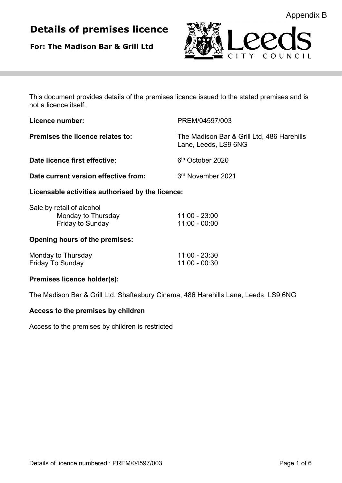# **Details of premises licence**

**For: The Madison Bar & Grill Ltd**



This document provides details of the premises licence issued to the stated premises and is not a licence itself.

| Licence number:                                  | PREM/04597/003                                                     |
|--------------------------------------------------|--------------------------------------------------------------------|
| Premises the licence relates to:                 | The Madison Bar & Grill Ltd, 486 Harehills<br>Lane, Leeds, LS9 6NG |
| Date licence first effective:                    | 6 <sup>th</sup> October 2020                                       |
| Date current version effective from:             | 3rd November 2021                                                  |
| Licensable activities authorised by the licence: |                                                                    |
| Sale hy retail of alcohol                        |                                                                    |

| Sale by retail of alcohol |               |
|---------------------------|---------------|
| Monday to Thursday        | 11:00 - 23:00 |
| <b>Friday to Sunday</b>   | 11:00 - 00:00 |

# **Opening hours of the premises:**

| Monday to Thursday      | 11:00 - 23:30 |
|-------------------------|---------------|
| <b>Friday To Sunday</b> | 11:00 - 00:30 |

# **Premises licence holder(s):**

The Madison Bar & Grill Ltd, Shaftesbury Cinema, 486 Harehills Lane, Leeds, LS9 6NG

# **Access to the premises by children**

Access to the premises by children is restricted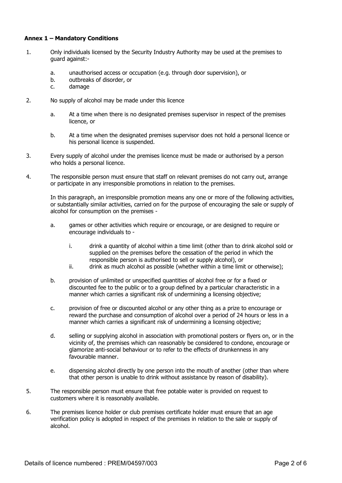## **Annex 1 – Mandatory Conditions**

- 1. Only individuals licensed by the Security Industry Authority may be used at the premises to guard against:
	- a. unauthorised access or occupation (e.g. through door supervision), or
	- b. outbreaks of disorder, or
	- c. damage
- 2. No supply of alcohol may be made under this licence
	- a. At a time when there is no designated premises supervisor in respect of the premises licence, or
	- b. At a time when the designated premises supervisor does not hold a personal licence or his personal licence is suspended.
- 3. Every supply of alcohol under the premises licence must be made or authorised by a person who holds a personal licence.
- 4. The responsible person must ensure that staff on relevant premises do not carry out, arrange or participate in any irresponsible promotions in relation to the premises.

 In this paragraph, an irresponsible promotion means any one or more of the following activities, or substantially similar activities, carried on for the purpose of encouraging the sale or supply of alcohol for consumption on the premises -

- a. games or other activities which require or encourage, or are designed to require or encourage individuals to
	- i. drink a quantity of alcohol within a time limit (other than to drink alcohol sold or supplied on the premises before the cessation of the period in which the responsible person is authorised to sell or supply alcohol), or
	- ii. drink as much alcohol as possible (whether within a time limit or otherwise);
- b. provision of unlimited or unspecified quantities of alcohol free or for a fixed or discounted fee to the public or to a group defined by a particular characteristic in a manner which carries a significant risk of undermining a licensing objective;
- c. provision of free or discounted alcohol or any other thing as a prize to encourage or reward the purchase and consumption of alcohol over a period of 24 hours or less in a manner which carries a significant risk of undermining a licensing objective;
- d. selling or supplying alcohol in association with promotional posters or flyers on, or in the vicinity of, the premises which can reasonably be considered to condone, encourage or glamorize anti-social behaviour or to refer to the effects of drunkenness in any favourable manner.
- e. dispensing alcohol directly by one person into the mouth of another (other than where that other person is unable to drink without assistance by reason of disability).
- 5. The responsible person must ensure that free potable water is provided on request to customers where it is reasonably available.
- 6. The premises licence holder or club premises certificate holder must ensure that an age verification policy is adopted in respect of the premises in relation to the sale or supply of alcohol.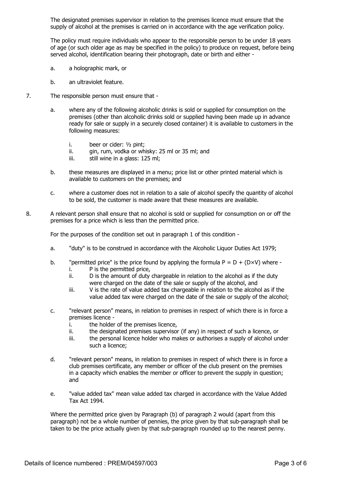The designated premises supervisor in relation to the premises licence must ensure that the supply of alcohol at the premises is carried on in accordance with the age verification policy.

 The policy must require individuals who appear to the responsible person to be under 18 years of age (or such older age as may be specified in the policy) to produce on request, before being served alcohol, identification bearing their photograph, date or birth and either -

- a. a holographic mark, or
- b. an ultraviolet feature.
- 7. The responsible person must ensure that
	- a. where any of the following alcoholic drinks is sold or supplied for consumption on the premises (other than alcoholic drinks sold or supplied having been made up in advance ready for sale or supply in a securely closed container) it is available to customers in the following measures:
		- i. beer or cider: ½ pint;
		- ii. gin, rum, vodka or whisky: 25 ml or 35 ml; and
		- iii. still wine in a glass: 125 ml;
	- b. these measures are displayed in a menu; price list or other printed material which is available to customers on the premises; and
	- c. where a customer does not in relation to a sale of alcohol specify the quantity of alcohol to be sold, the customer is made aware that these measures are available.
- 8. A relevant person shall ensure that no alcohol is sold or supplied for consumption on or off the premises for a price which is less than the permitted price.

For the purposes of the condition set out in paragraph 1 of this condition -

- a. "duty" is to be construed in accordance with the Alcoholic Liquor Duties Act 1979;
- b. "permitted price" is the price found by applying the formula  $P = D + (D \times V)$  where i. P is the permitted price,
	- ii. D is the amount of duty chargeable in relation to the alcohol as if the duty were charged on the date of the sale or supply of the alcohol, and
	- iii. V is the rate of value added tax chargeable in relation to the alcohol as if the value added tax were charged on the date of the sale or supply of the alcohol;
- c. "relevant person" means, in relation to premises in respect of which there is in force a premises licence
	- i. the holder of the premises licence,
	- ii. the designated premises supervisor (if any) in respect of such a licence, or
	- iii. the personal licence holder who makes or authorises a supply of alcohol under such a licence;
- d. "relevant person" means, in relation to premises in respect of which there is in force a club premises certificate, any member or officer of the club present on the premises in a capacity which enables the member or officer to prevent the supply in question; and
- e. "value added tax" mean value added tax charged in accordance with the Value Added Tax Act 1994.

 Where the permitted price given by Paragraph (b) of paragraph 2 would (apart from this paragraph) not be a whole number of pennies, the price given by that sub-paragraph shall be taken to be the price actually given by that sub-paragraph rounded up to the nearest penny.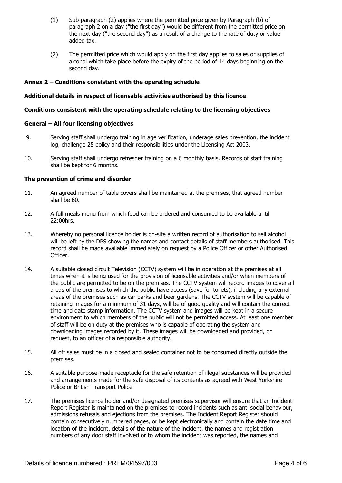- (1) Sub-paragraph (2) applies where the permitted price given by Paragraph (b) of paragraph 2 on a day ("the first day") would be different from the permitted price on the next day ("the second day") as a result of a change to the rate of duty or value added tax.
- (2) The permitted price which would apply on the first day applies to sales or supplies of alcohol which take place before the expiry of the period of 14 days beginning on the second day.

# **Annex 2 – Conditions consistent with the operating schedule**

### **Additional details in respect of licensable activities authorised by this licence**

### **Conditions consistent with the operating schedule relating to the licensing objectives**

#### **General – All four licensing objectives**

- 9. Serving staff shall undergo training in age verification, underage sales prevention, the incident log, challenge 25 policy and their responsibilities under the Licensing Act 2003.
- 10. Serving staff shall undergo refresher training on a 6 monthly basis. Records of staff training shall be kept for 6 months.

# **The prevention of crime and disorder**

- 11. An agreed number of table covers shall be maintained at the premises, that agreed number shall be 60.
- 12. A full meals menu from which food can be ordered and consumed to be available until 22:00hrs.
- 13. Whereby no personal licence holder is on-site a written record of authorisation to sell alcohol will be left by the DPS showing the names and contact details of staff members authorised. This record shall be made available immediately on request by a Police Officer or other Authorised Officer.
- 14. A suitable closed circuit Television (CCTV) system will be in operation at the premises at all times when it is being used for the provision of licensable activities and/or when members of the public are permitted to be on the premises. The CCTV system will record images to cover all areas of the premises to which the public have access (save for toilets), including any external areas of the premises such as car parks and beer gardens. The CCTV system will be capable of retaining images for a minimum of 31 days, will be of good quality and will contain the correct time and date stamp information. The CCTV system and images will be kept in a secure environment to which members of the public will not be permitted access. At least one member of staff will be on duty at the premises who is capable of operating the system and downloading images recorded by it. These images will be downloaded and provided, on request, to an officer of a responsible authority.
- 15. All off sales must be in a closed and sealed container not to be consumed directly outside the premises.
- 16. A suitable purpose-made receptacle for the safe retention of illegal substances will be provided and arrangements made for the safe disposal of its contents as agreed with West Yorkshire Police or British Transport Police.
- 17. The premises licence holder and/or designated premises supervisor will ensure that an Incident Report Register is maintained on the premises to record incidents such as anti social behaviour, admissions refusals and ejections from the premises. The Incident Report Register should contain consecutively numbered pages, or be kept electronically and contain the date time and location of the incident, details of the nature of the incident, the names and registration numbers of any door staff involved or to whom the incident was reported, the names and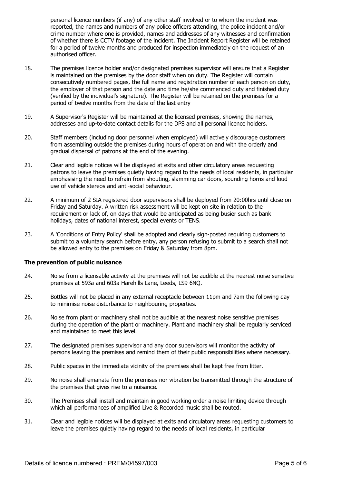personal licence numbers (if any) of any other staff involved or to whom the incident was reported, the names and numbers of any police officers attending, the police incident and/or crime number where one is provided, names and addresses of any witnesses and confirmation of whether there is CCTV footage of the incident. The Incident Report Register will be retained for a period of twelve months and produced for inspection immediately on the request of an authorised officer.

- 18. The premises licence holder and/or designated premises supervisor will ensure that a Register is maintained on the premises by the door staff when on duty. The Register will contain consecutively numbered pages, the full name and registration number of each person on duty, the employer of that person and the date and time he/she commenced duty and finished duty (verified by the individual's signature). The Register will be retained on the premises for a period of twelve months from the date of the last entry
- 19. A Supervisor's Register will be maintained at the licensed premises, showing the names, addresses and up-to-date contact details for the DPS and all personal licence holders.
- 20. Staff members (including door personnel when employed) will actively discourage customers from assembling outside the premises during hours of operation and with the orderly and gradual dispersal of patrons at the end of the evening.
- 21. Clear and legible notices will be displayed at exits and other circulatory areas requesting patrons to leave the premises quietly having regard to the needs of local residents, in particular emphasising the need to refrain from shouting, slamming car doors, sounding horns and loud use of vehicle stereos and anti-social behaviour.
- 22. A minimum of 2 SIA registered door supervisors shall be deployed from 20:00hrs until close on Friday and Saturday. A written risk assessment will be kept on site in relation to the requirement or lack of, on days that would be anticipated as being busier such as bank holidays, dates of national interest, special events or TENS.
- 23. A 'Conditions of Entry Policy' shall be adopted and clearly sign-posted requiring customers to submit to a voluntary search before entry, any person refusing to submit to a search shall not be allowed entry to the premises on Friday & Saturday from 8pm.

#### **The prevention of public nuisance**

- 24. Noise from a licensable activity at the premises will not be audible at the nearest noise sensitive premises at 593a and 603a Harehills Lane, Leeds, LS9 6NQ.
- 25. Bottles will not be placed in any external receptacle between 11pm and 7am the following day to minimise noise disturbance to neighbouring properties.
- 26. Noise from plant or machinery shall not be audible at the nearest noise sensitive premises during the operation of the plant or machinery. Plant and machinery shall be regularly serviced and maintained to meet this level.
- 27. The designated premises supervisor and any door supervisors will monitor the activity of persons leaving the premises and remind them of their public responsibilities where necessary.
- 28. Public spaces in the immediate vicinity of the premises shall be kept free from litter.
- 29. No noise shall emanate from the premises nor vibration be transmitted through the structure of the premises that gives rise to a nuisance.
- 30. The Premises shall install and maintain in good working order a noise limiting device through which all performances of amplified Live & Recorded music shall be routed.
- 31. Clear and legible notices will be displayed at exits and circulatory areas requesting customers to leave the premises quietly having regard to the needs of local residents, in particular